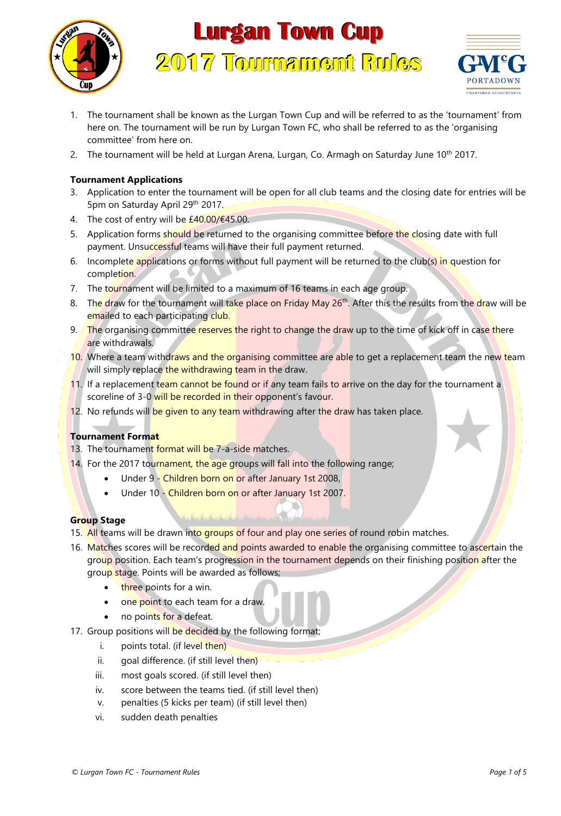

# **Lurgan Town Cup 2017 Tournament Rules**



- 1. The tournament shall be known as the Lurgan Town Cup and will be referred to as the 'tournament' from here on. The tournament will be run by Lurgan Town FC, who shall be referred to as the 'organising committee' from here on.
- 2. The tournament will be held at Lurgan Arena, Lurgan, Co. Armagh on Saturday June 10<sup>th</sup> 2017.

# **Tournament Applications**

- 3. Application to enter the tournament will be open for all club teams and the closing date for entries will be 5pm on Saturday April 29th 2017.
- 4. The cost of entry will be  $£40.00/[645.00]$ .
- 5. Application forms should be returned to the organising committee before the closing date with full payment. Unsuccessful teams will have their full payment returned.
- 6. Incomplete applications or forms without full payment will be returned to the club(s) in question for completion.
- 7. The tournament will be limited to a maximum of 16 teams in each age group.
- 8. The draw for the tournament will take place on Friday May 26<sup>th</sup>. After this the results from the draw will be emailed to each participating club.
- 9. The organising committee reserves the right to change the draw up to the time of kick off in case there are withdrawals.
- 10. Where a team withdraws and the organising committee are able to get a replacement team the new team will simply replace the withdrawing team in the draw.
- 11. If a replacement team cannot be found or if any team fails to arrive on the day for the tournament a scoreline of 3-0 will be recorded in their opponent's favour.
- 12. No refunds will be given to any team withdrawing after the draw has taken place.

#### **Tournament Format**

- 13. The tournament format will be 7-a-side matches.
- 14. For the 2017 tournament, the age groups will fall into the following range;
	- Under 9 Children born on or after January 1st 2008,
	- Under 10 Children born on or after January 1st 2007.

#### **Group Stage**

- 15. All teams will be drawn into groups of four and play one series of round robin matches.
- 16. Matches scores will be recorded and points awarded to enable the organising committee to ascertain the group position. Each team's progression in the tournament depends on their finishing position after the group stage. Points will be awarded as follows;
	- three points for a win.
	- one point to each team for a draw.
	- no points for a defeat.
- 17. Group positions will be decided by the following format;
	- i. points total. (if level then)
	- ii. goal difference. (if still level then)
	- iii. most goals scored. (if still level then)
	- iv. score between the teams tied. (if still level then)
	- v. penalties (5 kicks per team) (if still level then)
	- vi. sudden death penalties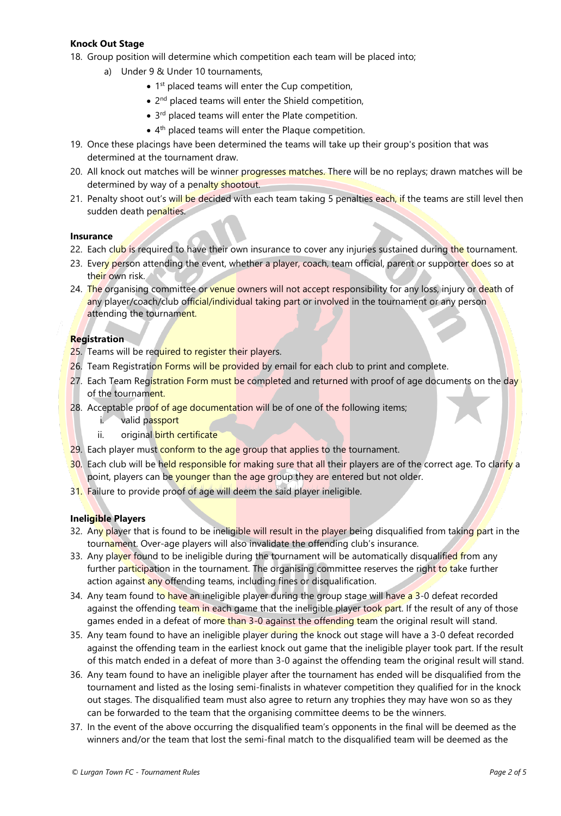### **Knock Out Stage**

18. Group position will determine which competition each team will be placed into;

- a) Under 9 & Under 10 tournaments,
	- 1<sup>st</sup> placed teams will enter the Cup competition,
	- 2<sup>nd</sup> placed teams will enter the Shield competition,
	- 3<sup>rd</sup> placed teams will enter the Plate competition.
	- 4<sup>th</sup> placed teams will enter the Plaque competition.
- 19. Once these placings have been determined the teams will take up their group's position that was determined at the tournament draw.
- 20. All knock out matches will be winner progresses matches. There will be no replays; drawn matches will be determined by way of a penalty shootout.
- 21. Penalty shoot out's will be decided with each team taking 5 penalties each, if the teams are still level then sudden death penalties.

#### **Insurance**

- 22. Each club is required to have their own insurance to cover any injuries sustained during the tournament.
- 23. Every person attending the event, whether a player, coach, team official, parent or supporter does so at their own risk.
- 24. The organising committee or venue owners will not accept responsibility for any loss, injury or death of any player/coach/club official/individual taking part or involved in the tournament or any person attending the tournament.

#### **Registration**

- 25. Teams will be required to register their players.
- 26. Team Registration Forms will be provided by email for each club to print and complete.
- 27. Each Team Registration Form must be completed and returned with proof of age documents on the day of the tournament.
- 28. Acceptable proof of age documentation will be of one of the following items;
	- i. valid passport
	- ii. original birth certificate
- 29. Each player must conform to the age group that applies to the tournament.
- 30. Each club will be held responsible for making sure that all their players are of the correct age. To clarify a point, players can be younger than the age group they are entered but not older.
- 31. Failure to provide proof of age will deem the said player ineligible.

#### **Ineligible Players**

- 32. Any player that is found to be ineligible will result in the player being disqualified from taking part in the tournament. Over-age players will also invalidate the offending club's insurance.
- 33. Any player found to be ineligible during the tournament will be automatically disqualified from any further participation in the tournament. The organising committee reserves the right to take further action against any offending teams, including fines or disqualification.
- 34. Any team found to have an ineligible player during the group stage will have a 3-0 defeat recorded against the offending team in each game that the ineligible player took part. If the result of any of those games ended in a defeat of more than 3-0 against the offending team the original result will stand.
- 35. Any team found to have an ineligible player during the knock out stage will have a 3-0 defeat recorded against the offending team in the earliest knock out game that the ineligible player took part. If the result of this match ended in a defeat of more than 3-0 against the offending team the original result will stand.
- 36. Any team found to have an ineligible player after the tournament has ended will be disqualified from the tournament and listed as the losing semi-finalists in whatever competition they qualified for in the knock out stages. The disqualified team must also agree to return any trophies they may have won so as they can be forwarded to the team that the organising committee deems to be the winners.
- 37. In the event of the above occurring the disqualified team's opponents in the final will be deemed as the winners and/or the team that lost the semi-final match to the disqualified team will be deemed as the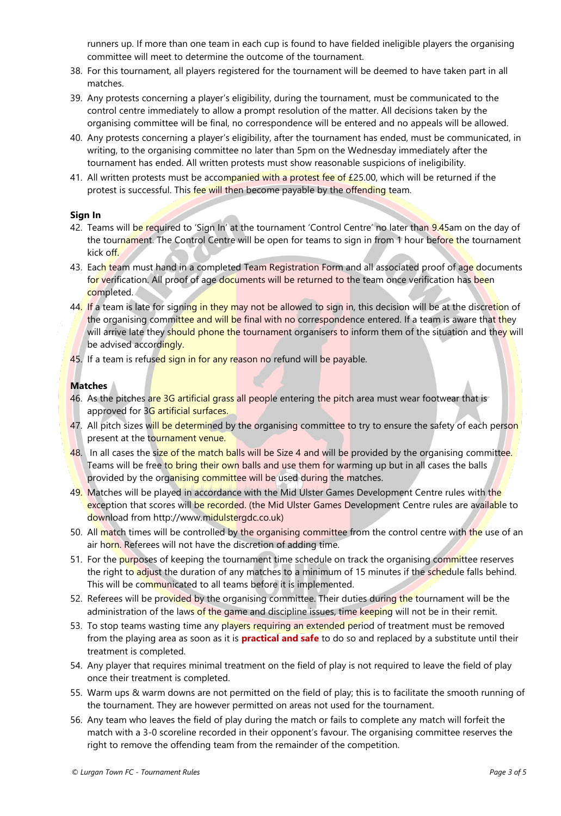runners up. If more than one team in each cup is found to have fielded ineligible players the organising committee will meet to determine the outcome of the tournament.

- 38. For this tournament, all players registered for the tournament will be deemed to have taken part in all matches.
- 39. Any protests concerning a player's eligibility, during the tournament, must be communicated to the control centre immediately to allow a prompt resolution of the matter. All decisions taken by the organising committee will be final, no correspondence will be entered and no appeals will be allowed.
- 40. Any protests concerning a player's eligibility, after the tournament has ended, must be communicated, in writing, to the organising committee no later than 5pm on the Wednesday immediately after the tournament has ended. All written protests must show reasonable suspicions of ineligibility.
- 41. All written protests must be accompanied with a protest fee of £25.00, which will be returned if the protest is successful. This fee will then become payable by the offending team.

#### **Sign In**

- 42. Teams will be required to 'Sign In' at the tournament 'Control Centre' no later than 9.45am on the day of the tournament. The Control Centre will be open for teams to sign in from 1 hour before the tournament kick off.
- 43. Each team must hand in a completed Team Registration Form and all associated proof of age documents for verification. All proof of age documents will be returned to the team once verification has been completed.
- 44. If a team is late for signing in they may not be allowed to sign in, this decision will be at the discretion of the organising committee and will be final with no correspondence entered. If a team is aware that they will arrive late they should phone the tournament organisers to inform them of the situation and they will be advised accordingly.
- 45. If a team is refused sign in for any reason no refund will be payable.

## **Matches**

- 46. As the pitches are 3G artificial grass all people entering the pitch area must wear footwear that is approved for 3G artificial surfaces.
- 47. All pitch sizes will be determined by the organising committee to try to ensure the safety of each person present at the tournament venue.
- 48. In all cases the size of the match balls will be Size 4 and will be provided by the organising committee. Teams will be free to bring their own balls and use them for warming up but in all cases the balls provided by the organising committee will be used during the matches.
- 49. Matches will be played in accordance with the Mid Ulster Games Development Centre rules with the exception that scores will be recorded. (the Mid Ulster Games Development Centre rules are available to download from http://www.midulstergdc.co.uk)
- 50. All match times will be controlled by the organising committee from the control centre with the use of an air horn. Referees will not have the discretion of adding time.
- 51. For the purposes of keeping the tournament time schedule on track the organising committee reserves the right to adjust the duration of any matches to a minimum of 15 minutes if the schedule falls behind. This will be communicated to all teams before it is implemented.
- 52. Referees will be provided by the organising committee. Their duties during the tournament will be the administration of the laws of the game and discipline issues, time keeping will not be in their remit.
- 53. To stop teams wasting time any players requiring an extended period of treatment must be removed from the playing area as soon as it is **practical and safe** to do so and replaced by a substitute until their treatment is completed.
- 54. Any player that requires minimal treatment on the field of play is not required to leave the field of play once their treatment is completed.
- 55. Warm ups & warm downs are not permitted on the field of play; this is to facilitate the smooth running of the tournament. They are however permitted on areas not used for the tournament.
- 56. Any team who leaves the field of play during the match or fails to complete any match will forfeit the match with a 3-0 scoreline recorded in their opponent's favour. The organising committee reserves the right to remove the offending team from the remainder of the competition.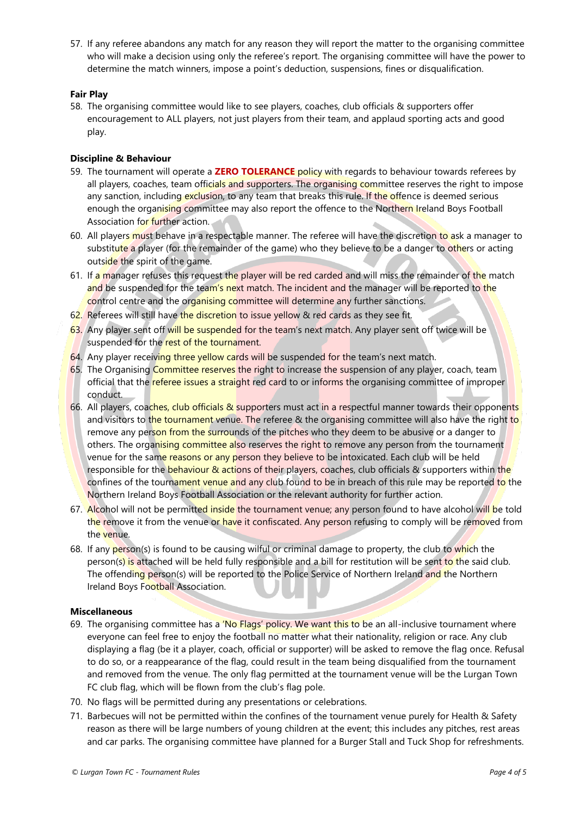57. If any referee abandons any match for any reason they will report the matter to the organising committee who will make a decision using only the referee's report. The organising committee will have the power to determine the match winners, impose a point's deduction, suspensions, fines or disqualification.

#### **Fair Play**

58. The organising committee would like to see players, coaches, club officials & supporters offer encouragement to ALL players, not just players from their team, and applaud sporting acts and good play.

### **Discipline & Behaviour**

- 59. The tournament will operate a **ZERO TOLERANCE** policy with regards to behaviour towards referees by all players, coaches, team officials and supporters. The organising committee reserves the right to impose any sanction, including exclusion, to any team that breaks this rule. If the offence is deemed serious enough the organising committee may also report the offence to the Northern Ireland Boys Football Association for further action.
- 60. All players must behave in a respectable manner. The referee will have the discretion to ask a manager to substitute a player (for the remainder of the game) who they believe to be a danger to others or acting outside the spirit of the game.
- 61. If a manager refuses this request the player will be red carded and will miss the remainder of the match and be suspended for the team's next match. The incident and the manager will be reported to the control centre and the organising committee will determine any further sanctions.
- 62. Referees will still have the discretion to issue yellow & red cards as they see fit.
- 63. Any player sent off will be suspended for the team's next match. Any player sent off twice will be suspended for the rest of the tournament.
- 64. Any player receiving three yellow cards will be suspended for the team's next match.
- 65. The Organising Committee reserves the right to increase the suspension of any player, coach, team official that the referee issues a straight red card to or informs the organising committee of improper conduct.
- 66. All players, coaches, club officials & supporters must act in a respectful manner towards their opponents and visitors to the tournament venue. The referee & the organising committee will also have the right to remove any person from the surrounds of the pitches who they deem to be abusive or a danger to others. The organising committee also reserves the right to remove any person from the tournament venue for the same reasons or any person they believe to be intoxicated. Each club will be held responsible for the behaviour & actions of their players, coaches, club officials & supporters within the confines of the tournament venue and any club found to be in breach of this rule may be reported to the Northern Ireland Boys Football Association or the relevant authority for further action.
- 67. Alcohol will not be permitted inside the tournament venue; any person found to have alcohol will be told the remove it from the venue or have it confiscated. Any person refusing to comply will be removed from the venue.
- 68. If any person(s) is found to be causing wilful or criminal damage to property, the club to which the person(s) is attached will be held fully responsible and a bill for restitution will be sent to the said club. The offending person(s) will be reported to the Police Service of Northern Ireland and the Northern Ireland Boys Football Association.

#### **Miscellaneous**

- 69. The organising committee has a 'No Flags' policy. We want this to be an all-inclusive tournament where everyone can feel free to enjoy the football no matter what their nationality, religion or race. Any club displaying a flag (be it a player, coach, official or supporter) will be asked to remove the flag once. Refusal to do so, or a reappearance of the flag, could result in the team being disqualified from the tournament and removed from the venue. The only flag permitted at the tournament venue will be the Lurgan Town FC club flag, which will be flown from the club's flag pole.
- 70. No flags will be permitted during any presentations or celebrations.
- 71. Barbecues will not be permitted within the confines of the tournament venue purely for Health & Safety reason as there will be large numbers of young children at the event; this includes any pitches, rest areas and car parks. The organising committee have planned for a Burger Stall and Tuck Shop for refreshments.